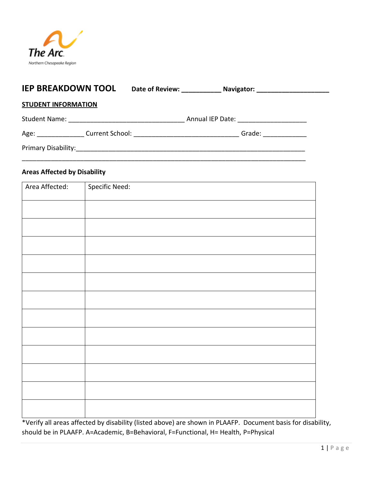

| <b>IEP BREAKDOWN TOOL</b>  |  |  |
|----------------------------|--|--|
| <b>STUDENT INFORMATION</b> |  |  |
|                            |  |  |
|                            |  |  |
|                            |  |  |

# **Areas Affected by Disability**

| Area Affected: | <b>Specific Need:</b> |
|----------------|-----------------------|
|                |                       |
|                |                       |
|                |                       |
|                |                       |
|                |                       |
|                |                       |
|                |                       |
|                |                       |
|                |                       |
|                |                       |
|                |                       |
|                |                       |
|                |                       |

\*Verify all areas affected by disability (listed above) are shown in PLAAFP. Document basis for disability, should be in PLAAFP. A=Academic, B=Behavioral, F=Functional, H= Health, P=Physical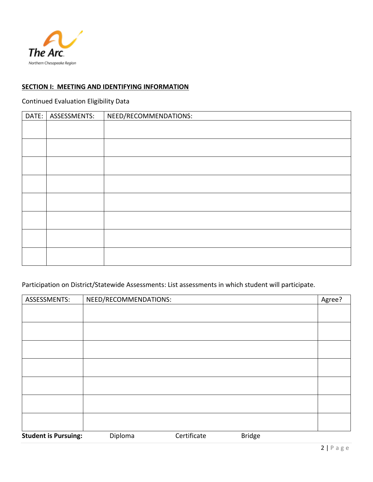

# **SECTION I: MEETING AND IDENTIFYING INFORMATION**

# Continued Evaluation Eligibility Data

| DATE: | ASSESSMENTS: | NEED/RECOMMENDATIONS: |
|-------|--------------|-----------------------|
|       |              |                       |
|       |              |                       |
|       |              |                       |
|       |              |                       |
|       |              |                       |
|       |              |                       |
|       |              |                       |
|       |              |                       |
|       |              |                       |

## Participation on District/Statewide Assessments: List assessments in which student will participate.

| ASSESSMENTS:                | NEED/RECOMMENDATIONS: |             |               | Agree? |
|-----------------------------|-----------------------|-------------|---------------|--------|
|                             |                       |             |               |        |
|                             |                       |             |               |        |
|                             |                       |             |               |        |
|                             |                       |             |               |        |
|                             |                       |             |               |        |
|                             |                       |             |               |        |
|                             |                       |             |               |        |
| <b>Student is Pursuing:</b> | Diploma               | Certificate | <b>Bridge</b> |        |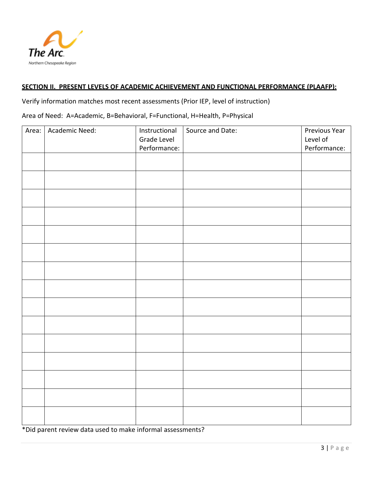

### **SECTION II. PRESENT LEVELS OF ACADEMIC ACHIEVEMENT AND FUNCTIONAL PERFORMANCE (PLAAFP):**

Verify information matches most recent assessments (Prior IEP, level of instruction)

Area of Need: A=Academic, B=Behavioral, F=Functional, H=Health, P=Physical

| Academic Need: | Instructional<br>Grade Level | Source and Date: | Previous Year<br>Level of<br>Performance: |
|----------------|------------------------------|------------------|-------------------------------------------|
|                |                              |                  |                                           |
|                |                              |                  |                                           |
|                |                              |                  |                                           |
|                |                              |                  |                                           |
|                |                              |                  |                                           |
|                |                              |                  |                                           |
|                |                              |                  |                                           |
|                |                              |                  |                                           |
|                |                              |                  |                                           |
|                |                              |                  |                                           |
|                |                              |                  |                                           |
|                |                              |                  |                                           |
|                |                              |                  |                                           |
|                |                              |                  |                                           |
|                |                              | Performance:     |                                           |

\*Did parent review data used to make informal assessments?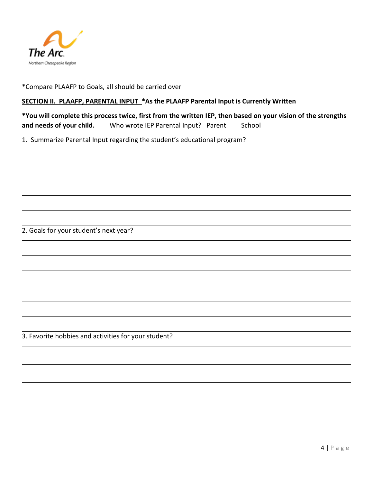

\*Compare PLAAFP to Goals, all should be carried over

### **SECTION II. PLAAFP, PARENTAL INPUT \*As the PLAAFP Parental Input is Currently Written**

**\*You will complete this process twice, first from the written IEP, then based on your vision of the strengths**  and needs of your child. Who wrote IEP Parental Input? Parent School

1. Summarize Parental Input regarding the student's educational program?



2. Goals for your student's next year?

3. Favorite hobbies and activities for your student?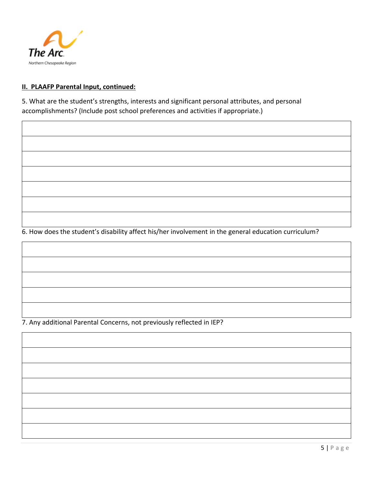

### **II. PLAAFP Parental Input, continued:**

5. What are the student's strengths, interests and significant personal attributes, and personal accomplishments? (Include post school preferences and activities if appropriate.)

6. How does the student's disability affect his/her involvement in the general education curriculum?

7. Any additional Parental Concerns, not previously reflected in IEP?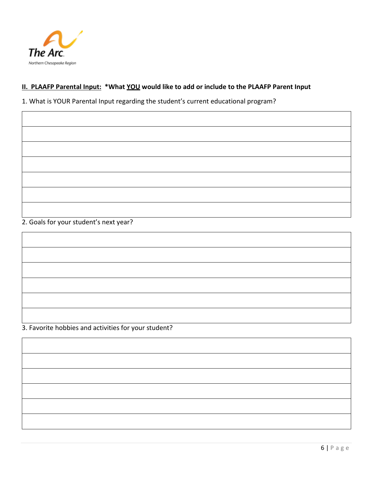

## **II. PLAAFP Parental Input: \*What YOU would like to add or include to the PLAAFP Parent Input**

1. What is YOUR Parental Input regarding the student's current educational program?

2. Goals for your student's next year?

3. Favorite hobbies and activities for your student?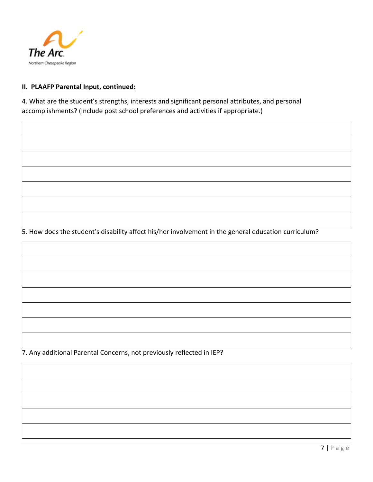

### **II. PLAAFP Parental Input, continued:**

4. What are the student's strengths, interests and significant personal attributes, and personal accomplishments? (Include post school preferences and activities if appropriate.)

5. How does the student's disability affect his/her involvement in the general education curriculum?

7. Any additional Parental Concerns, not previously reflected in IEP?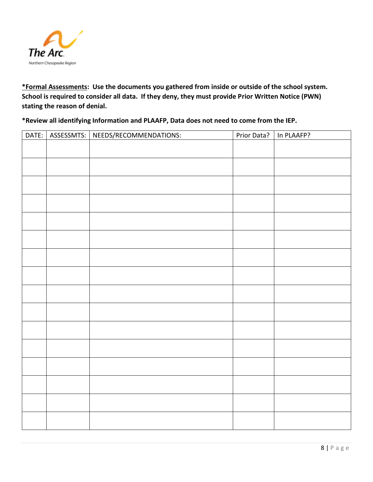

**\*Formal Assessments: Use the documents you gathered from inside or outside of the school system. School is required to consider all data. If they deny, they must provide Prior Written Notice (PWN) stating the reason of denial.**

**\*Review all identifying Information and PLAAFP, Data does not need to come from the IEP.**

| DATE: | ASSESSMTS: | NEEDS/RECOMMENDATIONS: | Prior Data? | In PLAAFP? |
|-------|------------|------------------------|-------------|------------|
|       |            |                        |             |            |
|       |            |                        |             |            |
|       |            |                        |             |            |
|       |            |                        |             |            |
|       |            |                        |             |            |
|       |            |                        |             |            |
|       |            |                        |             |            |
|       |            |                        |             |            |
|       |            |                        |             |            |
|       |            |                        |             |            |
|       |            |                        |             |            |
|       |            |                        |             |            |
|       |            |                        |             |            |
|       |            |                        |             |            |
|       |            |                        |             |            |
|       |            |                        |             |            |
|       |            |                        |             |            |
|       |            |                        |             |            |
|       |            |                        |             |            |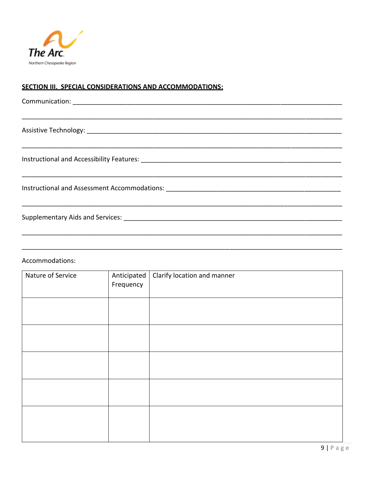

## SECTION III. SPECIAL CONSIDERATIONS AND ACCOMMODATIONS:

# Accommodations:

| Nature of Service | Anticipated<br>Frequency | Clarify location and manner |
|-------------------|--------------------------|-----------------------------|
|                   |                          |                             |
|                   |                          |                             |
|                   |                          |                             |
|                   |                          |                             |
|                   |                          |                             |
|                   |                          |                             |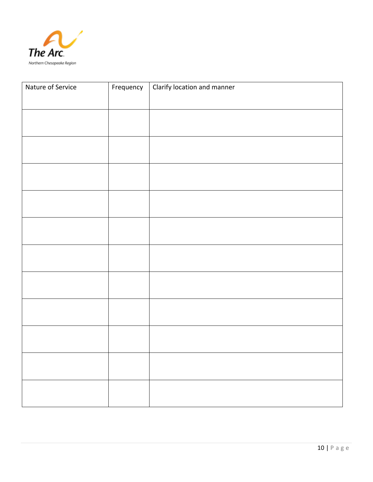

| Nature of Service | Frequency | Clarify location and manner |
|-------------------|-----------|-----------------------------|
|                   |           |                             |
|                   |           |                             |
|                   |           |                             |
|                   |           |                             |
|                   |           |                             |
|                   |           |                             |
|                   |           |                             |
|                   |           |                             |
|                   |           |                             |
|                   |           |                             |
|                   |           |                             |
|                   |           |                             |
|                   |           |                             |
|                   |           |                             |
|                   |           |                             |
|                   |           |                             |
|                   |           |                             |
|                   |           |                             |
|                   |           |                             |
|                   |           |                             |
|                   |           |                             |
|                   |           |                             |
|                   |           |                             |
|                   |           |                             |
|                   |           |                             |
|                   |           |                             |
|                   |           |                             |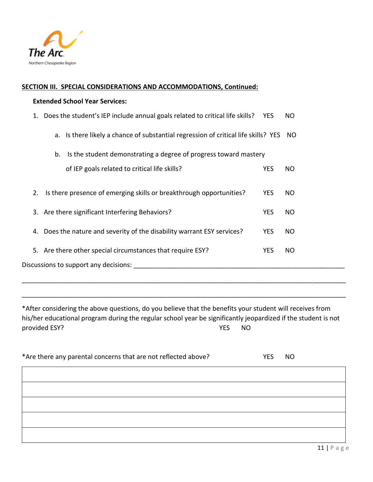

#### **SECTION III. SPECIAL CONSIDERATIONS AND ACCOMMODATIONS, Continued:**

#### **Extended School Year Services:**

|    | 1. Does the student's IEP include annual goals related to critical life skills? YES   | NO        |
|----|---------------------------------------------------------------------------------------|-----------|
|    | a. Is there likely a chance of substantial regression of critical life skills? YES NO |           |
|    | Is the student demonstrating a degree of progress toward mastery<br>b.                |           |
|    | of IEP goals related to critical life skills?<br><b>YES</b>                           | NO        |
| 2. | Is there presence of emerging skills or breakthrough opportunities?<br><b>YES</b>     | NO.       |
|    | <b>YES</b><br>3. Are there significant Interfering Behaviors?                         | NO.       |
| 4. | Does the nature and severity of the disability warrant ESY services?<br><b>YES</b>    | NO.       |
|    | 5. Are there other special circumstances that require ESY?<br><b>YES</b>              | <b>NO</b> |
|    | Discussions to support any decisions:                                                 |           |
|    |                                                                                       |           |

\*After considering the above questions, do you believe that the benefits your student will receives from his/her educational program during the regular school year be significantly jeopardized if the student is not provided ESY? NO

\_\_\_\_\_\_\_\_\_\_\_\_\_\_\_\_\_\_\_\_\_\_\_\_\_\_\_\_\_\_\_\_\_\_\_\_\_\_\_\_\_\_\_\_\_\_\_\_\_\_\_\_\_\_\_\_\_\_\_\_\_\_\_\_\_\_\_\_\_\_\_\_\_\_\_\_\_\_\_\_\_\_\_\_\_\_\_\_\_

\_\_\_\_\_\_\_\_\_\_\_\_\_\_\_\_\_\_\_\_\_\_\_\_\_\_\_\_\_\_\_\_\_\_\_\_\_\_\_\_\_\_\_\_\_\_\_\_\_\_\_\_\_\_\_\_\_\_\_\_\_\_\_\_\_\_\_\_\_\_\_\_\_\_\_\_\_\_\_\_\_\_\_\_\_\_\_\_\_

| *Are there any parental concerns that are not reflected above? | <b>YES</b> | <b>NO</b> |
|----------------------------------------------------------------|------------|-----------|
|                                                                |            |           |
|                                                                |            |           |
|                                                                |            |           |
|                                                                |            |           |
|                                                                |            |           |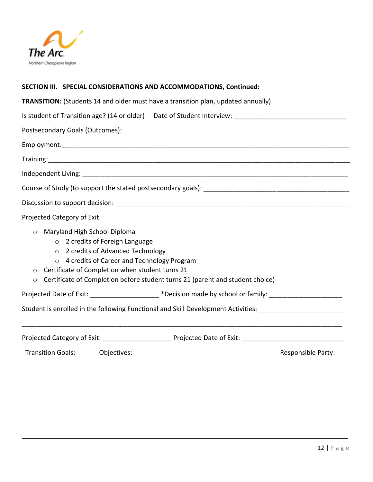

## **SECTION III. SPECIAL CONSIDERATIONS AND ACCOMMODATIONS, Continued:**

| <b>TRANSITION:</b> (Students 14 and older must have a transition plan, updated annually)                                                                                                                                                                                                                                   |
|----------------------------------------------------------------------------------------------------------------------------------------------------------------------------------------------------------------------------------------------------------------------------------------------------------------------------|
| Is student of Transition age? (14 or older) Date of Student Interview: ___________________________________                                                                                                                                                                                                                 |
| Postsecondary Goals (Outcomes):                                                                                                                                                                                                                                                                                            |
|                                                                                                                                                                                                                                                                                                                            |
|                                                                                                                                                                                                                                                                                                                            |
|                                                                                                                                                                                                                                                                                                                            |
|                                                                                                                                                                                                                                                                                                                            |
|                                                                                                                                                                                                                                                                                                                            |
| Projected Category of Exit                                                                                                                                                                                                                                                                                                 |
| Maryland High School Diploma<br>$\circ$<br>o 2 credits of Foreign Language<br>o 2 credits of Advanced Technology<br>o 4 credits of Career and Technology Program<br>Certificate of Completion when student turns 21<br>$\circ$<br>Certificate of Completion before student turns 21 (parent and student choice)<br>$\circ$ |
| Projected Date of Exit: _____________________*Decision made by school or family: ___________________                                                                                                                                                                                                                       |
| Student is enrolled in the following Functional and Skill Development Activities: ___________________________                                                                                                                                                                                                              |

Projected Category of Exit: \_\_\_\_\_\_\_\_\_\_\_\_\_\_\_\_\_\_\_\_\_\_\_\_\_\_\_ Projected Date of Exit: \_\_\_\_\_\_\_\_\_\_\_\_\_\_\_\_\_\_\_\_\_\_\_\_\_\_\_\_\_\_

| <b>Transition Goals:</b> | Objectives: | Responsible Party: |
|--------------------------|-------------|--------------------|
|                          |             |                    |
|                          |             |                    |
|                          |             |                    |
|                          |             |                    |

\_\_\_\_\_\_\_\_\_\_\_\_\_\_\_\_\_\_\_\_\_\_\_\_\_\_\_\_\_\_\_\_\_\_\_\_\_\_\_\_\_\_\_\_\_\_\_\_\_\_\_\_\_\_\_\_\_\_\_\_\_\_\_\_\_\_\_\_\_\_\_\_\_\_\_\_\_\_\_\_\_\_\_\_\_\_\_\_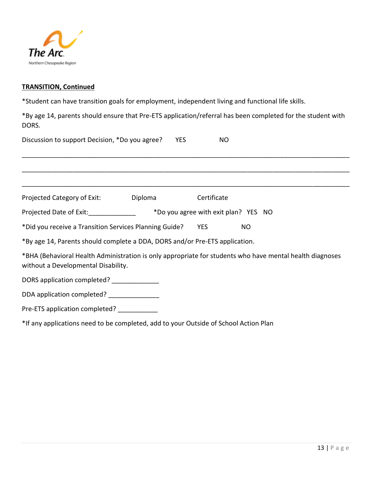

### **TRANSITION, Continued**

\*Student can have transition goals for employment, independent living and functional life skills.

\*By age 14, parents should ensure that Pre-ETS application/referral has been completed for the student with DORS.

| Discussion to support Decision, *Do you agree?                                                                                                  | <b>YES</b> | <b>NO</b>                            |     |  |
|-------------------------------------------------------------------------------------------------------------------------------------------------|------------|--------------------------------------|-----|--|
|                                                                                                                                                 |            |                                      |     |  |
|                                                                                                                                                 |            |                                      |     |  |
| Diploma<br>Projected Category of Exit:                                                                                                          |            | Certificate                          |     |  |
| Projected Date of Exit:                                                                                                                         |            | *Do you agree with exit plan? YES NO |     |  |
| *Did you receive a Transition Services Planning Guide?                                                                                          |            | <b>YES</b>                           | NO. |  |
| *By age 14, Parents should complete a DDA, DORS and/or Pre-ETS application.                                                                     |            |                                      |     |  |
| *BHA (Behavioral Health Administration is only appropriate for students who have mental health diagnoses<br>without a Developmental Disability. |            |                                      |     |  |
| DORS application completed? _______________                                                                                                     |            |                                      |     |  |
| DDA application completed?                                                                                                                      |            |                                      |     |  |
| Pre-ETS application completed?                                                                                                                  |            |                                      |     |  |

\*If any applications need to be completed, add to your Outside of School Action Plan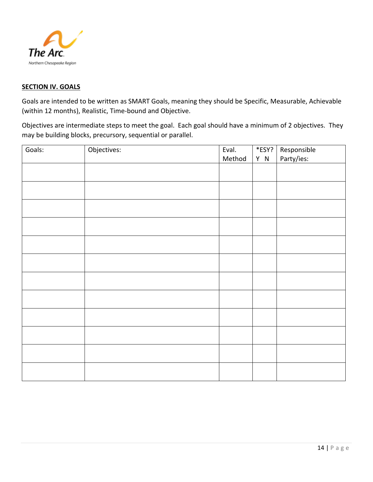

#### **SECTION IV. GOALS**

Goals are intended to be written as SMART Goals, meaning they should be Specific, Measurable, Achievable (within 12 months), Realistic, Time-bound and Objective.

Objectives are intermediate steps to meet the goal. Each goal should have a minimum of 2 objectives. They may be building blocks, precursory, sequential or parallel.

| Goals: | Objectives: | Eval.  | $\overline{\ast}$ ESY? | Responsible<br>Party/ies: |
|--------|-------------|--------|------------------------|---------------------------|
|        |             | Method | Y N                    |                           |
|        |             |        |                        |                           |
|        |             |        |                        |                           |
|        |             |        |                        |                           |
|        |             |        |                        |                           |
|        |             |        |                        |                           |
|        |             |        |                        |                           |
|        |             |        |                        |                           |
|        |             |        |                        |                           |
|        |             |        |                        |                           |
|        |             |        |                        |                           |
|        |             |        |                        |                           |
|        |             |        |                        |                           |
|        |             |        |                        |                           |
|        |             |        |                        |                           |
|        |             |        |                        |                           |
|        |             |        |                        |                           |
|        |             |        |                        |                           |
|        |             |        |                        |                           |
|        |             |        |                        |                           |
|        |             |        |                        |                           |
|        |             |        |                        |                           |
|        |             |        |                        |                           |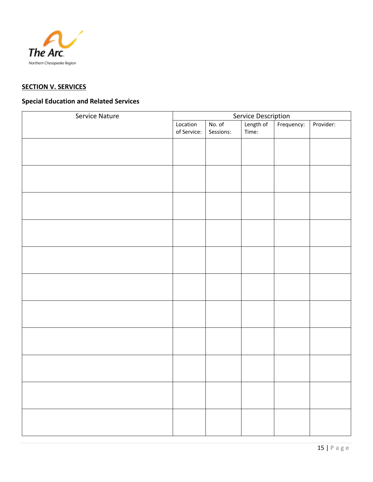

# **SECTION V. SERVICES**

# **Special Education and Related Services**

| Service Nature | Service Description |           |           |            |           |
|----------------|---------------------|-----------|-----------|------------|-----------|
|                | Location            | No. of    | Length of | Frequency: | Provider: |
|                | of Service:         | Sessions: | Time:     |            |           |
|                |                     |           |           |            |           |
|                |                     |           |           |            |           |
|                |                     |           |           |            |           |
|                |                     |           |           |            |           |
|                |                     |           |           |            |           |
|                |                     |           |           |            |           |
|                |                     |           |           |            |           |
|                |                     |           |           |            |           |
|                |                     |           |           |            |           |
|                |                     |           |           |            |           |
|                |                     |           |           |            |           |
|                |                     |           |           |            |           |
|                |                     |           |           |            |           |
|                |                     |           |           |            |           |
|                |                     |           |           |            |           |
|                |                     |           |           |            |           |
|                |                     |           |           |            |           |
|                |                     |           |           |            |           |
|                |                     |           |           |            |           |
|                |                     |           |           |            |           |
|                |                     |           |           |            |           |
|                |                     |           |           |            |           |
|                |                     |           |           |            |           |
|                |                     |           |           |            |           |
|                |                     |           |           |            |           |
|                |                     |           |           |            |           |
|                |                     |           |           |            |           |
|                |                     |           |           |            |           |
|                |                     |           |           |            |           |
|                |                     |           |           |            |           |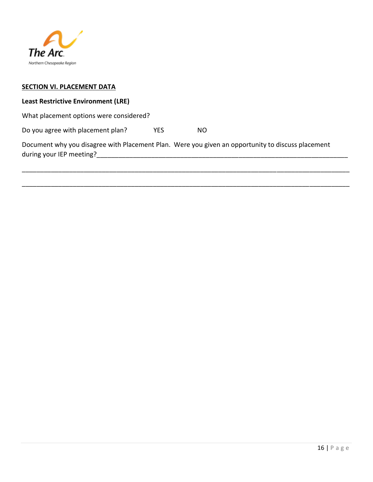

#### **SECTION VI. PLACEMENT DATA**

### **Least Restrictive Environment (LRE)**

What placement options were considered?

Do you agree with placement plan? YES NO

Document why you disagree with Placement Plan. Were you given an opportunity to discuss placement during your IEP meeting?

\_\_\_\_\_\_\_\_\_\_\_\_\_\_\_\_\_\_\_\_\_\_\_\_\_\_\_\_\_\_\_\_\_\_\_\_\_\_\_\_\_\_\_\_\_\_\_\_\_\_\_\_\_\_\_\_\_\_\_\_\_\_\_\_\_\_\_\_\_\_\_\_\_\_\_\_\_\_\_\_\_\_\_\_\_\_\_\_\_\_

\_\_\_\_\_\_\_\_\_\_\_\_\_\_\_\_\_\_\_\_\_\_\_\_\_\_\_\_\_\_\_\_\_\_\_\_\_\_\_\_\_\_\_\_\_\_\_\_\_\_\_\_\_\_\_\_\_\_\_\_\_\_\_\_\_\_\_\_\_\_\_\_\_\_\_\_\_\_\_\_\_\_\_\_\_\_\_\_\_\_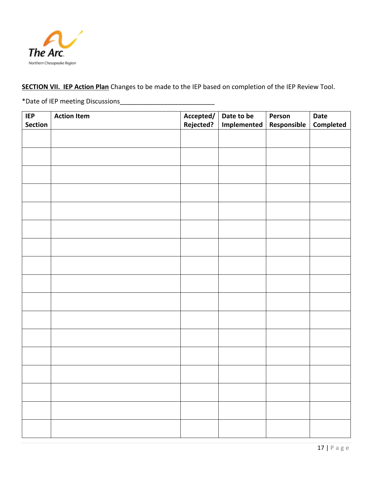

# **SECTION VII. IEP Action Plan** Changes to be made to the IEP based on completion of the IEP Review Tool.

\*Date of IEP meeting Discussions\_\_\_\_\_\_\_\_\_\_\_\_\_\_\_\_\_\_\_\_\_\_\_\_\_\_

| IEP     | <b>Action Item</b> | Accepted/ | Date to be  | Person      | Date      |
|---------|--------------------|-----------|-------------|-------------|-----------|
| Section |                    | Rejected? | Implemented | Responsible | Completed |
|         |                    |           |             |             |           |
|         |                    |           |             |             |           |
|         |                    |           |             |             |           |
|         |                    |           |             |             |           |
|         |                    |           |             |             |           |
|         |                    |           |             |             |           |
|         |                    |           |             |             |           |
|         |                    |           |             |             |           |
|         |                    |           |             |             |           |
|         |                    |           |             |             |           |
|         |                    |           |             |             |           |
|         |                    |           |             |             |           |
|         |                    |           |             |             |           |
|         |                    |           |             |             |           |
|         |                    |           |             |             |           |
|         |                    |           |             |             |           |
|         |                    |           |             |             |           |